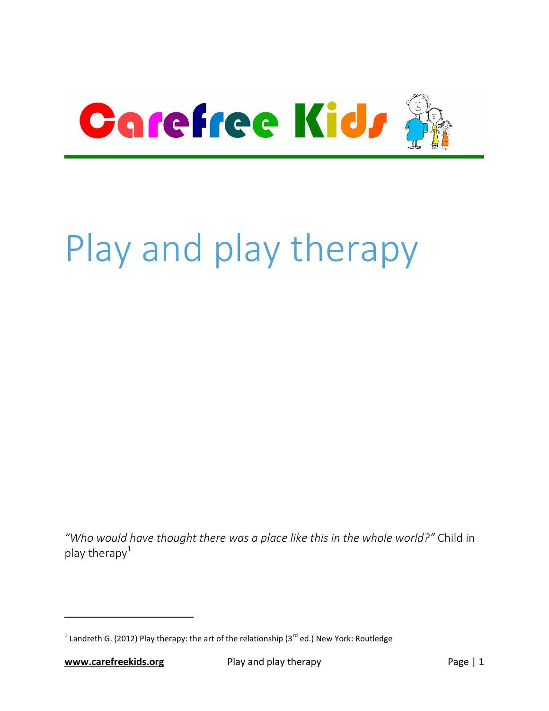

# Play and play therapy

*"Who would have thought there was a place like this in the whole world?"* Child in play therapy $1$ 

 $\overline{a}$ 

<sup>&</sup>lt;sup>1</sup> Landreth G. (2012) Play therapy: the art of the relationship (3<sup>rd</sup> ed.) New York: Routledge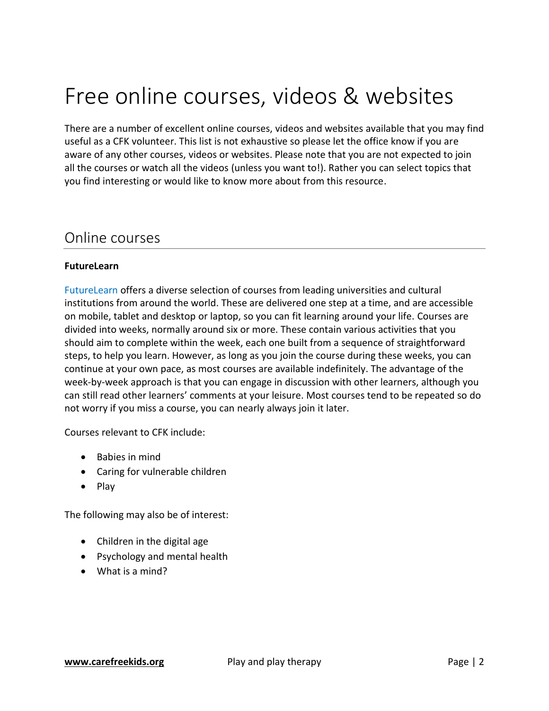# Free online courses, videos & websites

There are a number of excellent online courses, videos and websites available that you may find useful as a CFK volunteer. This list is not exhaustive so please let the office know if you are aware of any other courses, videos or websites. Please note that you are not expected to join all the courses or watch all the videos (unless you want to!). Rather you can select topics that you find interesting or would like to know more about from this resource.

### Online courses

#### **FutureLearn**

[FutureLearn](http://www.futurelearn.com/) offers a diverse selection of courses from leading universities and cultural institutions from around the world. These are delivered one step at a time, and are accessible on mobile, tablet and desktop or laptop, so you can fit learning around your life. Courses are divided into weeks, normally around six or more. These contain various activities that you should aim to complete within the week, each one built from a sequence of straightforward steps, to help you learn. However, as long as you join the course during these weeks, you can continue at your own pace, as most courses are available indefinitely. The advantage of the week-by-week approach is that you can engage in discussion with other learners, although you can still read other learners' comments at your leisure. Most courses tend to be repeated so do not worry if you miss a course, you can nearly always join it later.

Courses relevant to CFK include:

- Babies in mind
- Caring for vulnerable children
- $\bullet$  Play

The following may also be of interest:

- Children in the digital age
- Psychology and mental health
- What is a mind?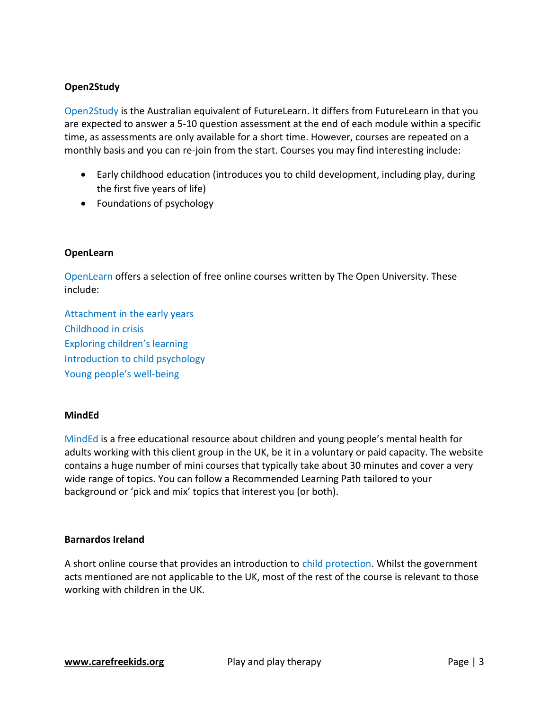#### **Open2Study**

[Open2Study](http://www.open2study.com/) is the Australian equivalent of FutureLearn. It differs from FutureLearn in that you are expected to answer a 5-10 question assessment at the end of each module within a specific time, as assessments are only available for a short time. However, courses are repeated on a monthly basis and you can re-join from the start. Courses you may find interesting include:

- Early childhood education (introduces you to child development, including play, during the first five years of life)
- Foundations of psychology

#### **OpenLearn**

[OpenLearn](http://www.open.edu/openlearn/) offers a selection of free online courses written by The Open University. These include:

[Attachment in the early years](http://goo.gl/BL4UIO) [Childhood in crisis](http://goo.gl/PIzT0M) Exploring [children's learning](http://goo.gl/O0Ri8L) [Introduction to child psychology](http://goo.gl/fnkhym) [Young people's well](http://goo.gl/ijFLSs)-being

#### **MindEd**

[MindEd](http://www.minded.org.uk/) is a free educational resource about children and young people's mental health for adults working with this client group in the UK, be it in a voluntary or paid capacity. The website contains a huge number of mini courses that typically take about 30 minutes and cover a very wide range of topics. You can follow a Recommended Learning Path tailored to your background or 'pick and mix' topics that interest you (or both).

#### **Barnardos Ireland**

A short online course that provides an introduction to [child protection.](http://goo.gl/r5Rd0D) Whilst the government acts mentioned are not applicable to the UK, most of the rest of the course is relevant to those working with children in the UK.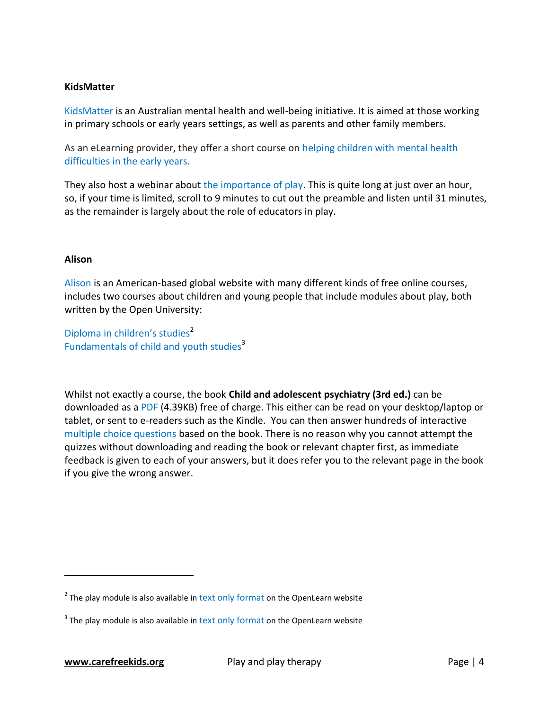#### **KidsMatter**

[KidsMatter](https://www.kidsmatter.edu.au/) is an Australian mental health and well-being initiative. It is aimed at those working in primary schools or early years settings, as well as parents and other family members.

As an eLearning provider, they offer a short course on [helping children with mental health](http://goo.gl/pgDpII)  [difficulties in the early years.](http://goo.gl/pgDpII)

They also host a webinar about [the importance of play.](https://goo.gl/RmmubW) This is quite long at just over an hour, so, if your time is limited, scroll to 9 minutes to cut out the preamble and listen until 31 minutes, as the remainder is largely about the role of educators in play.

#### **Alison**

[Alison](https://alison.com/) is an American-based global website with many different kinds of free online courses, includes two courses about children and young people that include modules about play, both written by the Open University:

[Diploma in children's studies](http://goo.gl/WZO32U)<sup>2</sup> [Fundamentals of child and youth studies](http://goo.gl/WZO32U)<sup>3</sup>

Whilst not exactly a course, the book **Child and adolescent psychiatry (3rd ed.)** can be downloaded as a [PDF](http://goo.gl/MnVGVE) (4.39KB) free of charge. This either can be read on your desktop/laptop or tablet, or sent to e-readers such as the Kindle. You can then answer hundreds of interactive [multiple choice questions](http://goo.gl/yLftvE) based on the book. There is no reason why you cannot attempt the quizzes without downloading and reading the book or relevant chapter first, as immediate feedback is given to each of your answers, but it does refer you to the relevant page in the book if you give the wrong answer.

 $\overline{a}$ 

 $2$  The play module is also available in [text only format](http://goo.gl/tDI877) on the OpenLearn website

 $3$  The play module is also available in [text only format](http://goo.gl/WZO32U) on the OpenLearn website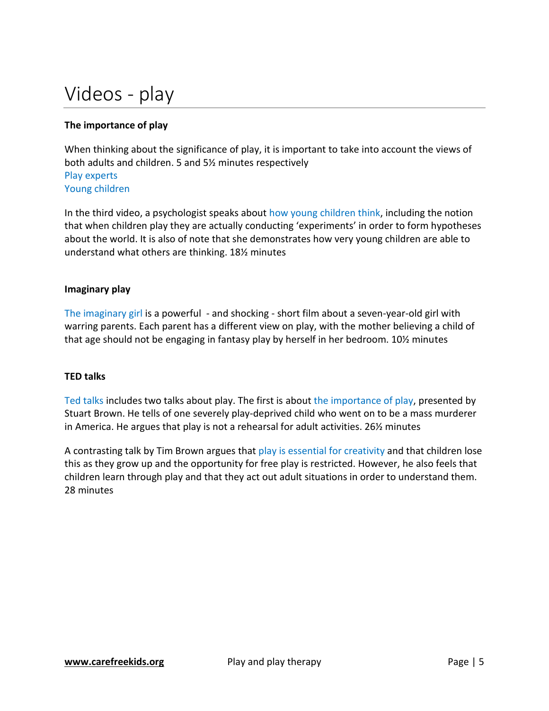# Videos - play

#### **The importance of play**

When thinking about the significance of play, it is important to take into account the views of both adults and children. 5 and 5½ minutes respectively [Play experts](http://goo.gl/mU4bLm) [Young children](http://goo.gl/eFDSu6)

In the third video, a psychologist speaks about [how young children think,](http://goo.gl/PjOxKG) including the notion that when children play they are actually conducting 'experiments' in order to form hypotheses about the world. It is also of note that she demonstrates how very young children are able to understand what others are thinking. 18½ minutes

#### **Imaginary play**

[The imaginary girl](https://goo.gl/3DEsM1) is a powerful - and shocking - short film about a seven-year-old girl with warring parents. Each parent has a different view on play, with the mother believing a child of that age should not be engaging in fantasy play by herself in her bedroom. 10½ minutes

#### **TED talks**

[Ted talks](https://www.ted.com/talks) includes two talks about play. The first is about [the importance of play,](http://goo.gl/7mvCa7) presented by Stuart Brown. He tells of one severely play-deprived child who went on to be a mass murderer in America. He argues that play is not a rehearsal for adult activities. 26½ minutes

A contrasting talk by Tim Brown argues that [play is essential for creativity](http://goo.gl/JWrHn5) and that children lose this as they grow up and the opportunity for free play is restricted. However, he also feels that children learn through play and that they act out adult situations in order to understand them. 28 minutes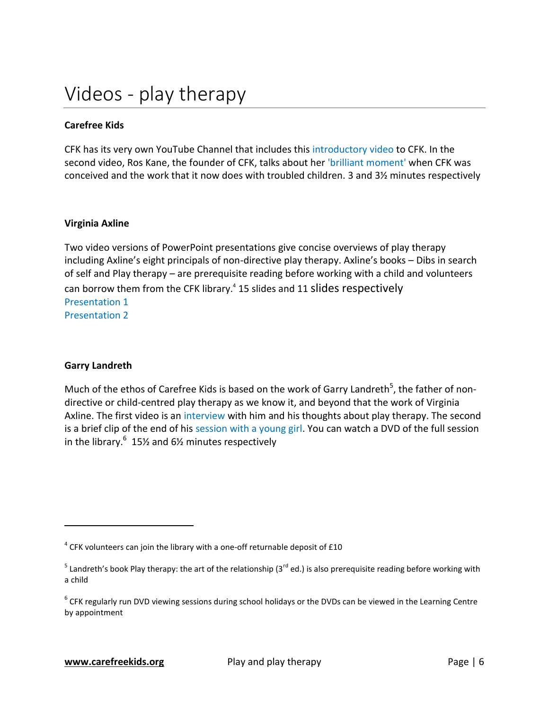#### **Carefree Kids**

CFK has its very own YouTube Channel that includes this [introductory video](http://goo.gl/zAN2UL) to CFK. In the second video, Ros Kane, the founder of CFK, talks about her ['brilliant moment'](http://goo.gl/qRS4jm) when CFK was conceived and the work that it now does with troubled children. 3 and 3½ minutes respectively

#### **Virginia Axline**

Two video versions of PowerPoint presentations give concise overviews of play therapy including Axline's eight principals of non-directive play therapy. Axline's books – Dibs in search of self and Play therapy – are prerequisite reading before working with a child and volunteers can borrow them from the CFK library.<sup>4</sup> 15 slides and 11 slides respectively [Presentation 1](http://goo.gl/GPNOMJ) [Presentation 2](http://goo.gl/DwkSuC)

#### **Garry Landreth**

 $\overline{a}$ 

Much of the ethos of Carefree Kids is based on the work of Garry Landreth<sup>5</sup>, the father of nondirective or child-centred play therapy as we know it, and beyond that the work of Virginia Axline. The first video is an [interview](http://goo.gl/aDpVsv) with him and his thoughts about play therapy. The second is a brief clip of the end of his [session with a young girl.](http://goo.gl/thJg2D) You can watch a DVD of the full session in the library. $^6$  15½ and 6½ minutes respectively

 $^4$  CFK volunteers can join the library with a one-off returnable deposit of £10

<sup>&</sup>lt;sup>5</sup> Landreth's book Play therapy: the art of the relationship (3<sup>rd</sup> ed.) is also prerequisite reading before working with a child

 $^6$  CFK regularly run DVD viewing sessions during school holidays or the DVDs can be viewed in the Learning Centre by appointment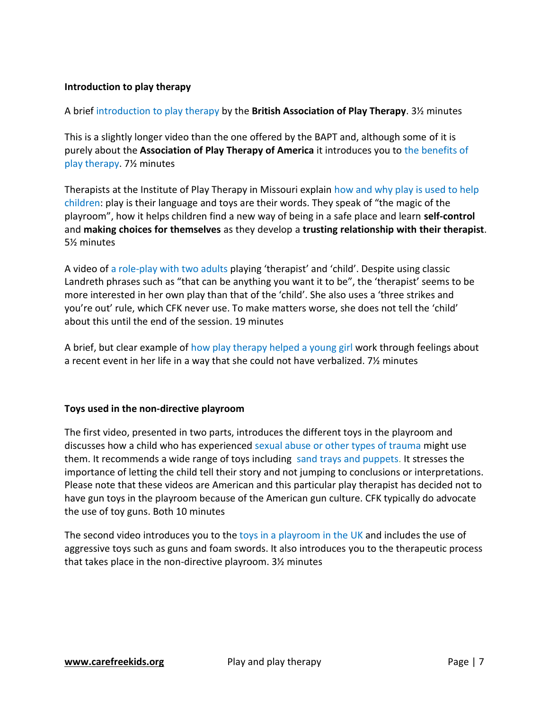#### **Introduction to play therapy**

A brief [introduction to play therapy](http://goo.gl/PzZSrY) by the **British Association of Play Therapy**. 3½ minutes

This is a slightly longer video than the one offered by the BAPT and, although some of it is purely about the **Association of Play Therapy of America** it introduces you to [the benefits of](http://goo.gl/gsgrbY)  [play therapy.](http://goo.gl/gsgrbY) 7½ minutes

Therapists at the Institute of Play Therapy in Missouri explain [how and why play is used to help](https://goo.gl/pNBTes)  [children:](https://goo.gl/pNBTes) play is their language and toys are their words. They speak of "the magic of the playroom", how it helps children find a new way of being in a safe place and learn **self-control** and **making choices for themselves** as they develop a **trusting relationship with their therapist**. 5½ minutes

A video of [a role-play with two adults](http://goo.gl/ZFRM0f) playing 'therapist' and 'child'. Despite using classic Landreth phrases such as "that can be anything you want it to be", the 'therapist' seems to be more interested in her own play than that of the 'child'. She also uses a 'three strikes and you're out' rule, which CFK never use. To make matters worse, she does not tell the 'child' about this until the end of the session. 19 minutes

A brief, but clear example of [how play therapy helped a young girl](https://goo.gl/2l9mcE) work through feelings about a recent event in her life in a way that she could not have verbalized. 7½ minutes

#### **Toys used in the non-directive playroom**

The first video, presented in two parts, introduces the different toys in the playroom and discusses how a child who has experienced [sexual abuse or other types of trauma](http://goo.gl/LJa924) might use them. It recommends a wide range of toys including [sand trays and puppets.](http://goo.gl/O60CbB) It stresses the importance of letting the child tell their story and not jumping to conclusions or interpretations. Please note that these videos are American and this particular play therapist has decided not to have gun toys in the playroom because of the American gun culture. CFK typically do advocate the use of toy guns. Both 10 minutes

The second video introduces you to the [toys in a playroom](http://goo.gl/S9EwQg) in the UK and includes the use of aggressive toys such as guns and foam swords. It also introduces you to the therapeutic process that takes place in the non-directive playroom. 3½ minutes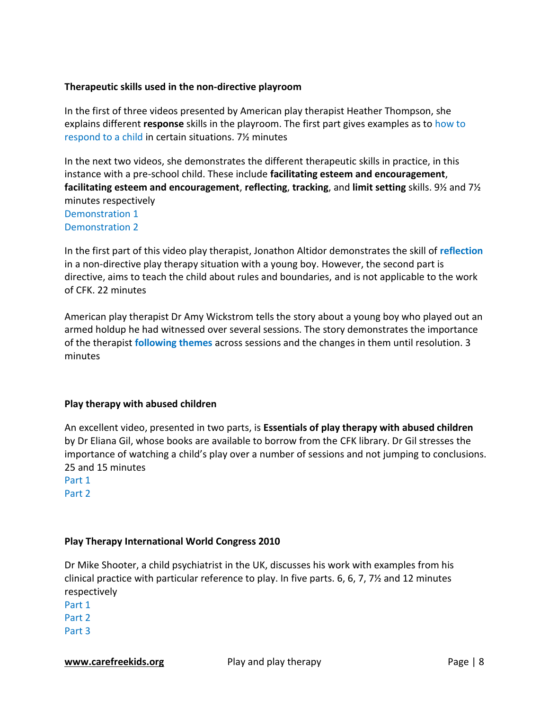#### **Therapeutic skills used in the non-directive playroom**

In the first of three videos presented by American play therapist Heather Thompson, she explains different **response** skills in the playroom. The first part gives examples as to [how to](http://goo.gl/eIIqfD)  [respond to a child](http://goo.gl/eIIqfD) in certain situations. 7½ minutes

In the next two videos, she demonstrates the different therapeutic skills in practice, in this instance with a pre-school child. These include **facilitating esteem and encouragement**, **facilitating esteem and encouragement**, **reflecting**, **tracking**, and **limit setting** skills. 9½ and 7½ minutes respectively

[Demonstration 1](http://goo.gl/5RsxEW) [Demonstration 2](http://goo.gl/WZO32U)

In the first part of this video play therapist, Jonathon Altidor demonstrates the skill of **[reflection](http://goo.gl/jGtjcH)** in a non-directive play therapy situation with a young boy. However, the second part is directive, aims to teach the child about rules and boundaries, and is not applicable to the work of CFK. 22 minutes

American play therapist Dr Amy Wickstrom tells the story about a young boy who played out an armed holdup he had witnessed over several sessions. The story demonstrates the importance of the therapist **[following themes](https://goo.gl/Xf7a2J)** across sessions and the changes in them until resolution. 3 minutes

#### **Play therapy with abused children**

An excellent video, presented in two parts, is **Essentials of play therapy with abused children** by Dr Eliana Gil, whose books are available to borrow from the CFK library. Dr Gil stresses the importance of watching a child's play over a number of sessions and not jumping to conclusions. 25 and 15 minutes

[Part 1](http://goo.gl/7AjpFa) [Part 2](http://goo.gl/ir2AUr)

#### **Play Therapy International World Congress 2010**

Dr Mike Shooter, a child psychiatrist in the UK, discusses his work with examples from his clinical practice with particular reference to play. In five parts. 6, 6, 7, 7½ and 12 minutes respectively [Part 1](https://goo.gl/GQTztF) [Part 2](https://goo.gl/2Eq4Y4) [Part 3](https://goo.gl/CHTo5p)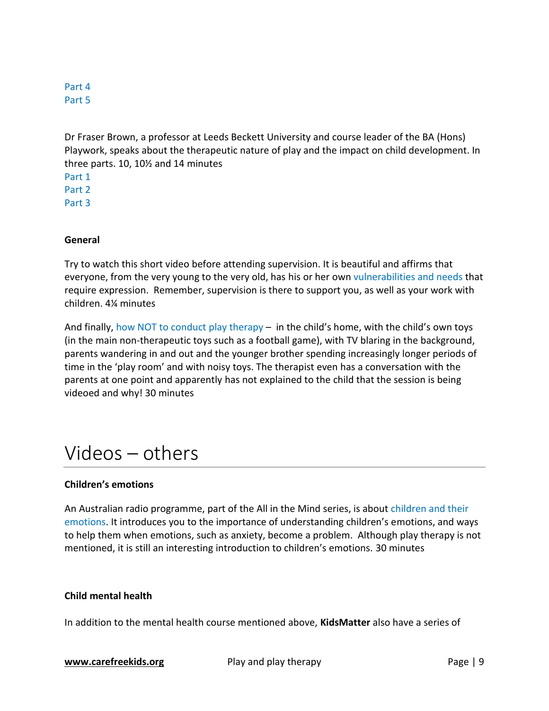#### [Part 4](https://goo.gl/GS02Q8) [Part 5](https://goo.gl/xAmhE1)

Dr Fraser Brown, a professor at Leeds Beckett University and course leader of the BA (Hons) Playwork, speaks about the therapeutic nature of play and the impact on child development. In three parts. 10, 10½ and 14 minutes

[Part 1](https://goo.gl/wxIg38) [Part 2](https://goo.gl/B83zpF) [Part 3](https://goo.gl/JSvujA)

#### **General**

Try to watch this short video before attending supervision. It is beautiful and affirms that everyone, from the very young to the very old, has his or her own [vulnerabilities and needs](http://goo.gl/HqXeUs) that require expression. Remember, supervision is there to support you, as well as your work with children. 4¼ minutes

And finally, [how NOT to conduct](http://goo.gl/uR4r6L) play therapy – in the child's home, with the child's own toys (in the main non-therapeutic toys such as a football game), with TV blaring in the background, parents wandering in and out and the younger brother spending increasingly longer periods of time in the 'play room' and with noisy toys. The therapist even has a conversation with the parents at one point and apparently has not explained to the child that the session is being videoed and why! 30 minutes

### Videos – others

#### **Children's emotions**

An Australian radio programme, part of the All in the Mind series, is about [children and their](http://goo.gl/VAJTzz)  [emotions.](http://goo.gl/VAJTzz) It introduces you to the importance of understanding children's emotions, and ways to help them when emotions, such as anxiety, become a problem. Although play therapy is not mentioned, it is still an interesting introduction to children's emotions. 30 minutes

#### **Child mental health**

In addition to the mental health course mentioned above, **KidsMatter** also have a series of

**[www.carefreekids.org](file:///C:/Users/chirp_000/Downloads/www.carefreekids.org)** Play and play therapy Page | 9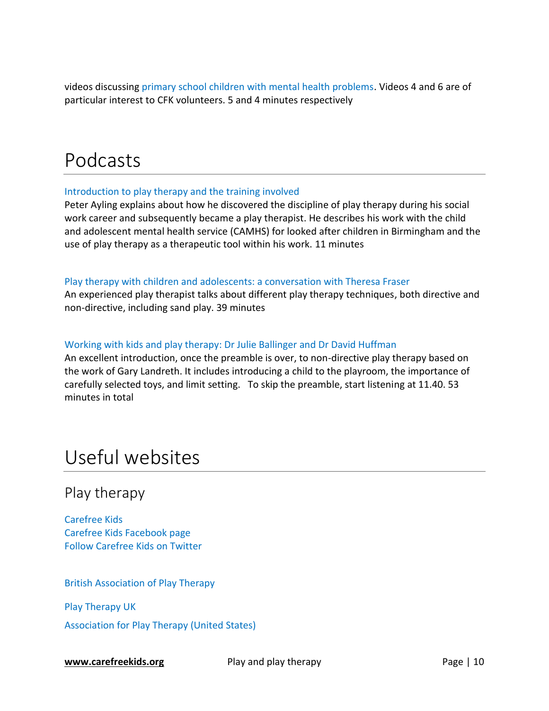videos discussing [primary school children with mental health problems.](https://goo.gl/0VUtZo) Videos 4 and 6 are of particular interest to CFK volunteers. 5 and 4 minutes respectively

### Podcasts

#### [Introduction to play therapy and the training involved](http://goo.gl/hN7rV8)

Peter Ayling explains about how he discovered the discipline of play therapy during his social work career and subsequently became a play therapist. He describes his work with the child and adolescent mental health service (CAMHS) for looked after children in Birmingham and the use of play therapy as a therapeutic tool within his work. 11 minutes

#### [Play therapy with children and adolescents: a conversation with Theresa Fraser](http://www.c2ypodcast.org/e/play-therapy-with-children-and-adolescents-a-conversation-with-theresa-fraser/)

An experienced play therapist talks about different play therapy techniques, both directive and non-directive, including sand play. 39 minutes

#### [Working with kids and play therapy: Dr Julie Ballinger and Dr David Huffman](http://goo.gl/hY7G0t)

An excellent introduction, once the preamble is over, to non-directive play therapy based on the work of Gary Landreth. It includes introducing a child to the playroom, the importance of carefully selected toys, and limit setting. To skip the preamble, start listening at 11.40. 53 minutes in total

## Useful websites

### Play therapy

[Carefree Kids](http://www.carefreekids.org/) [Carefree Kids Facebook page](https://www.facebook.com/Carefree-Kids-123783211061635/timeline/) [Follow Carefree Kids on Twitter](https://twitter.com/carefreekids)

[British Association of Play Therapy](http://www.bapt.info/)

[Play Therapy](http://www.playtherapy.org.uk/) UK

[Association for Play Therapy \(United States\)](http://www.a4pt.org/)

**[www.carefreekids.org](file:///C:/Users/chirp_000/Downloads/www.carefreekids.org)** Play and play therapy Page | 10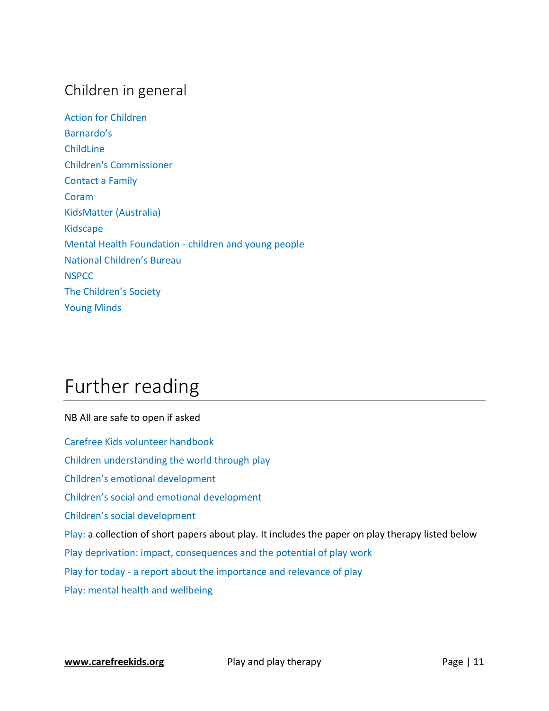### Children in general

[Action for Children](http://www.actionforchildren.org.uk/) [Barnardo's](http://www.barnardos.org.uk/) [ChildLine](http://www.childline.org.uk/pages/home.aspx) [Children's Commissioner](http://www.childrenscommissioner.gov.uk/) [Contact a Family](http://www.cafamily.org.uk/) [Coram](http://www.coram.org.uk/) [KidsMatter \(Australia\)](https://www.kidsmatter.edu.au/) [Kidscape](https://www.kidscape.org.uk/) [Mental Health Foundation -](http://www.mentalhealth.org.uk/help-information/mental-health-a-z/C/children-young-people/) children and young people [National Children's Bureau](http://www.ncb.org.uk/) **[NSPCC](http://www.nspcc.org.uk/)** [The Children's Society](http://www.childrenssociety.org.uk/) [Young Minds](http://www.youngminds.org.uk/)

# Further reading

### NB All are safe to open if asked [Carefree Kids volunteer handbook](http://goo.gl/uLBAIW) [Children understanding the world through play](http://goo.gl/SGXKgK) [Children's emotional development](https://goo.gl/7gaERx) [Children's social and emotional development](https://goo.gl/iy9ZTv) [Children's social development](https://goo.gl/9nzLYE) [Play:](http://www.child-encyclopedia.com/sites/default/files/dossiers-complets/en/play.pdf) a collection of short papers about play. It includes the paper on play therapy listed below [Play deprivation: impact, consequences and the potential of play work](http://goo.gl/Ytv7ae) Play for today - [a report about the importance and relevance of play](http://goo.gl/WZO32U) [Play: mental health and wellbeing](http://goo.gl/EdQ0zr)